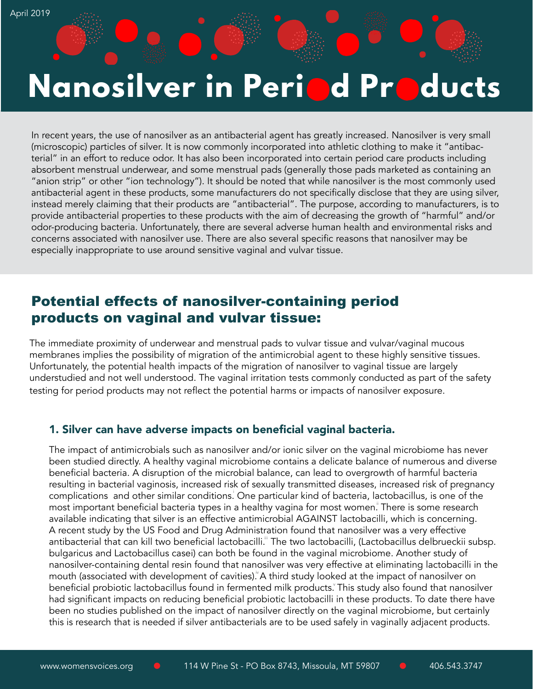# **Nanosilver in Peri d Pr ducts**

In recent years, the use of nanosilver as an antibacterial agent has greatly increased. Nanosilver is very small (microscopic) particles of silver. It is now commonly incorporated into athletic clothing to make it "antibacterial" in an effort to reduce odor. It has also been incorporated into certain period care products including absorbent menstrual underwear, and some menstrual pads (generally those pads marketed as containing an "anion strip" or other "ion technology"). It should be noted that while nanosilver is the most commonly used antibacterial agent in these products, some manufacturers do not specifically disclose that they are using silver, instead merely claiming that their products are "antibacterial". The purpose, according to manufacturers, is to provide antibacterial properties to these products with the aim of decreasing the growth of "harmful" and/or odor-producing bacteria. Unfortunately, there are several adverse human health and environmental risks and concerns associated with nanosilver use. There are also several specific reasons that nanosilver may be especially inappropriate to use around sensitive vaginal and vulvar tissue.

## Potential effects of nanosilver-containing period products on vaginal and vulvar tissue:

The immediate proximity of underwear and menstrual pads to vulvar tissue and vulvar/vaginal mucous membranes implies the possibility of migration of the antimicrobial agent to these highly sensitive tissues. Unfortunately, the potential health impacts of the migration of nanosilver to vaginal tissue are largely understudied and not well understood. The vaginal irritation tests commonly conducted as part of the safety testing for period products may not reflect the potential harms or impacts of nanosilver exposure.

### 1. Silver can have adverse impacts on beneficial vaginal bacteria.

The impact of antimicrobials such as nanosilver and/or ionic silver on the vaginal microbiome has never been studied directly. A healthy vaginal microbiome contains a delicate balance of numerous and diverse beneficial bacteria. A disruption of the microbial balance, can lead to overgrowth of harmful bacteria resulting in bacterial vaginosis, increased risk of sexually transmitted diseases, increased risk of pregnancy complications and other similar conditions. One particular kind of bacteria, lactobacillus, is one of the most important beneficial bacteria types in a healthy vagina for most women. There is some research available indicating that silver is an effective antimicrobial AGAINST lactobacilli, which is concerning. A recent study by the US Food and Drug Administration found that nanosilver was a very effective antibacterial that can kill two beneficial lactobacilli." The two lactobacilli, (Lactobacillus delbrueckii subsp. bulgaricus and Lactobacillus casei) can both be found in the vaginal microbiome. Another study of nanosilver-containing dental resin found that nanosilver was very effective at eliminating lactobacilli in the mouth (associated with development of cavities). A third study looked at the impact of nanosilver on beneficial probiotic lactobacillus found in fermented milk products. This study also found that nanosilver had significant impacts on reducing beneficial probiotic lactobacilli in these products. To date there have been no studies published on the impact of nanosilver directly on the vaginal microbiome, but certainly this is research that is needed if silver antibacterials are to be used safely in vaginally adjacent products.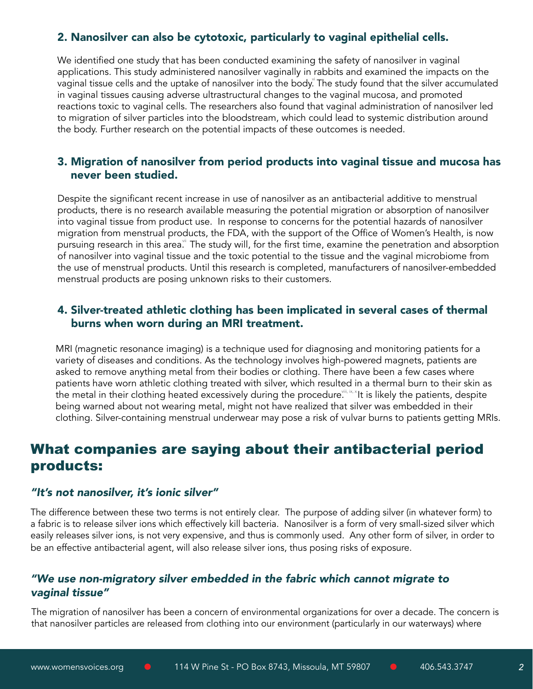## 2. Nanosilver can also be cytotoxic, particularly to vaginal epithelial cells.

We identified one study that has been conducted examining the safety of nanosilver in vaginal applications. This study administered nanosilver vaginally in rabbits and examined the impacts on the vaginal tissue cells and the uptake of nanosilver into the body. The study found that the silver accumulated in vaginal tissues causing adverse ultrastructural changes to the vaginal mucosa, and promoted reactions toxic to vaginal cells. The researchers also found that vaginal administration of nanosilver led to migration of silver particles into the bloodstream, which could lead to systemic distribution around the body. Further research on the potential impacts of these outcomes is needed.

## 3. Migration of nanosilver from period products into vaginal tissue and mucosa has never been studied.

Despite the significant recent increase in use of nanosilver as an antibacterial additive to menstrual products, there is no research available measuring the potential migration or absorption of nanosilver into vaginal tissue from product use. In response to concerns for the potential hazards of nanosilver migration from menstrual products, the FDA, with the support of the Office of Women's Health, is now pursuing research in this area.<sup>"</sup> The study will, for the first time, examine the penetration and absorption of nanosilver into vaginal tissue and the toxic potential to the tissue and the vaginal microbiome from the use of menstrual products. Until this research is completed, manufacturers of nanosilver-embedded menstrual products are posing unknown risks to their customers.

## 4. Silver-treated athletic clothing has been implicated in several cases of thermal burns when worn during an MRI treatment.

MRI (magnetic resonance imaging) is a technique used for diagnosing and monitoring patients for a variety of diseases and conditions. As the technology involves high-powered magnets, patients are asked to remove anything metal from their bodies or clothing. There have been a few cases where patients have worn athletic clothing treated with silver, which resulted in a thermal burn to their skin as the metal in their clothing heated excessively during the procedure $\stackrel{iii}{\ldots}\stackrel{ix}{\ldots}$  it is likely the patients, despite being warned about not wearing metal, might not have realized that silver was embedded in their clothing. Silver-containing menstrual underwear may pose a risk of vulvar burns to patients getting MRIs.

## What companies are saying about their antibacterial period products:

#### *"It's not nanosilver, it's ionic silver"*

The difference between these two terms is not entirely clear. The purpose of adding silver (in whatever form) to a fabric is to release silver ions which effectively kill bacteria. Nanosilver is a form of very small-sized silver which easily releases silver ions, is not very expensive, and thus is commonly used. Any other form of silver, in order to be an effective antibacterial agent, will also release silver ions, thus posing risks of exposure.

### *"We use non-migratory silver embedded in the fabric which cannot migrate to vaginal tissue"*

The migration of nanosilver has been a concern of environmental organizations for over a decade. The concern is that nanosilver particles are released from clothing into our environment (particularly in our waterways) where